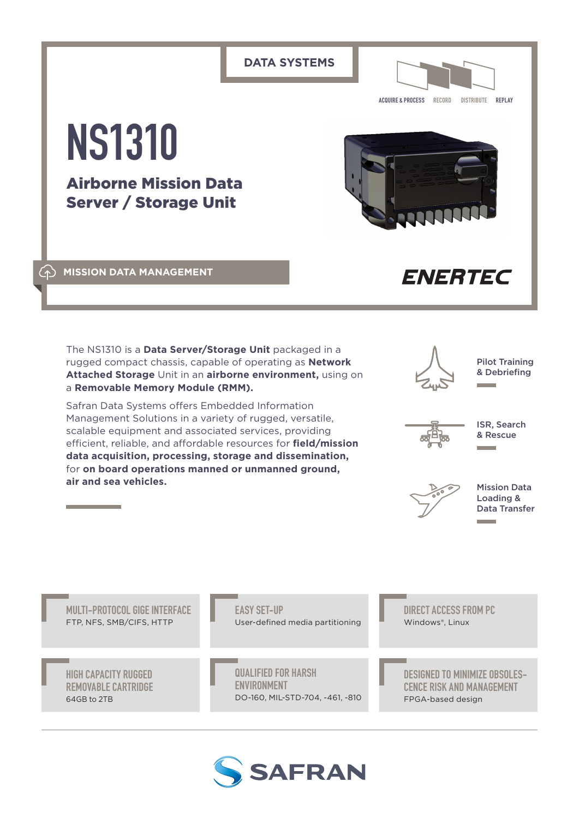